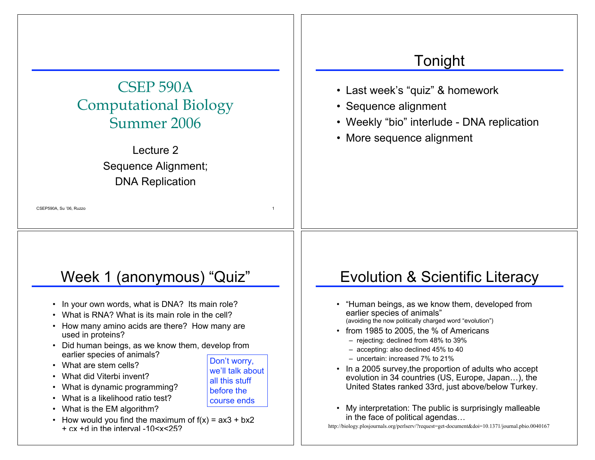# CSEP 590A Computational Biology Summer 2006

Lecture 2 Sequence Alignment; DNA Replication

CSEP590A, Su '06, Ruzzo 1

# Week 1 (anonymous) "Quiz"

- In your own words, what is DNA? Its main role?
- What is RNA? What is its main role in the cell?
- How many amino acids are there? How many are used in proteins?
- Did human beings, as we know them, develop from earlier species of animals?
- What are stem cells?
- What did Viterbi invent?
- What is dynamic programming?
- What is a likelihood ratio test?
- What is the EM algorithm?
- How would you find the maximum of  $f(x) = ax3 + bx2$ + cx +d in the interval -10<x<25?

### Tonight

- Last week's "quiz" & homework
- Sequence alignment
- Weekly "bio" interlude DNA replication
- More sequence alignment

# Evolution & Scientific Literacy

- "Human beings, as we know them, developed from earlier species of animals" (avoiding the now politically charged word "evolution")
- from 1985 to 2005, the % of Americans
	- rejecting: declined from 48% to 39%
	- accepting: also declined 45% to 40
	- uncertain: increased 7% to 21%
- In a 2005 survey,the proportion of adults who accept evolution in 34 countries (US, Europe, Japan…), the United States ranked 33rd, just above/below Turkey.
- My interpretation: The public is surprisingly malleable in the face of political agendas…

http://biology.plosjournals.org/perlserv/?request=get-document&doi=10.1371/journal.pbio.0040167

Don't worry, we'll talk about all this stuff before the course ends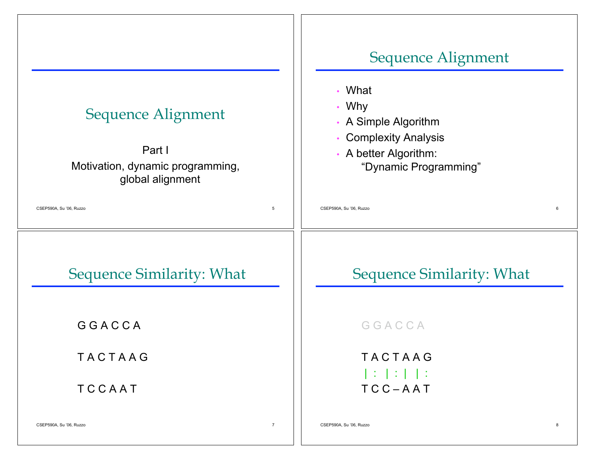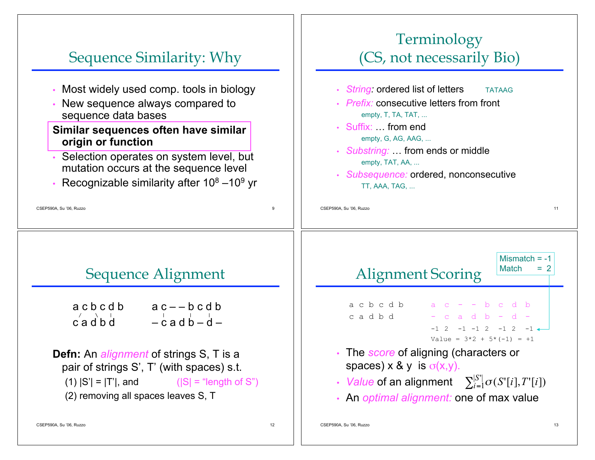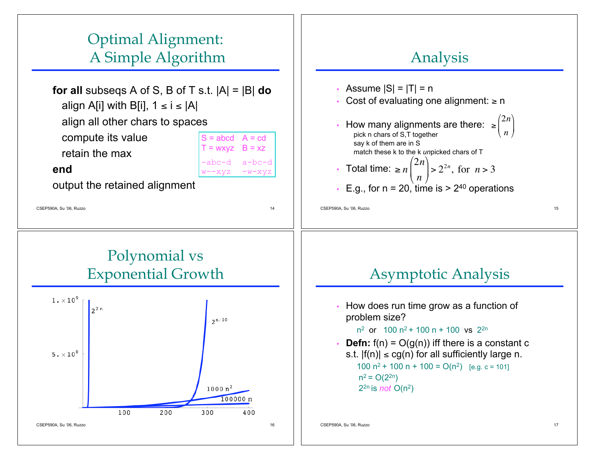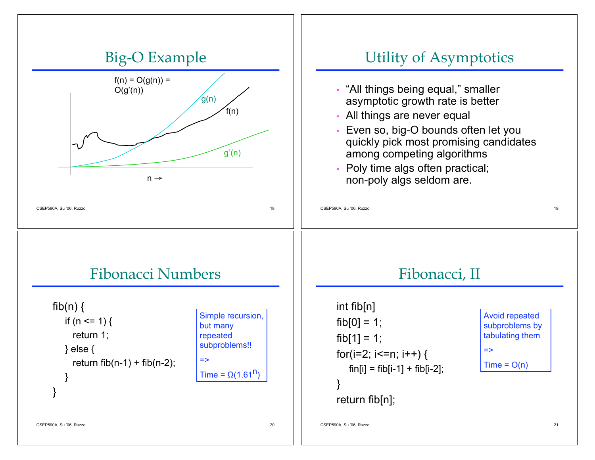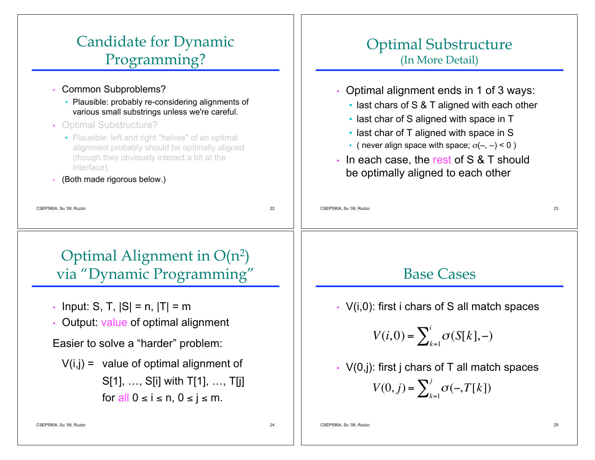# Candidate for Dynamic Programming?

- Common Subproblems?
	- Plausible: probably re-considering alignments of various small substrings unless we're careful.
- Optimal Substructure?
	- Plausible: left and right "halves" of an optimal alignment probably should be optimally aligned (though they obviously interact a bit at the interface).
- (Both made rigorous below.)

#### Optimal Substructure (In More Detail)

- Optimal alignment ends in 1 of 3 ways:
	- last chars of S & T aligned with each other
	- last char of S aligned with space in T
	- last char of T aligned with space in S
	- ( never align space with space;  $\sigma(-, -) < 0$  )
- In each case, the rest of S & T should be optimally aligned to each other

CSEP590A, Su '06, Ruzzo 23

Optimal Alignment in  $O(n^2)$ via "Dynamic Programming"

CSEP590A, Su '06, Ruzzo 22

- Input: S, T,  $|S| = n$ ,  $|T| = m$
- Output: value of optimal alignment

Easier to solve a "harder" problem:

 $V(i,j)$  = value of optimal alignment of S[1], …, S[i] with T[1], …, T[j] for all  $0 \le i \le n$ ,  $0 \le j \le m$ .

Base Cases

• V(i,0): first i chars of S all match spaces

$$
V(i,0) = \sum_{k=1}^{i} \sigma(S[k],-)
$$

•  $V(0, j)$ : first j chars of T all match spaces  $V(0, j) = \sum_{k=1}^{j} \sigma(-, T[k])$ 

CSEP590A, Su '06, Ruzzo 24

|<br>|-<br>|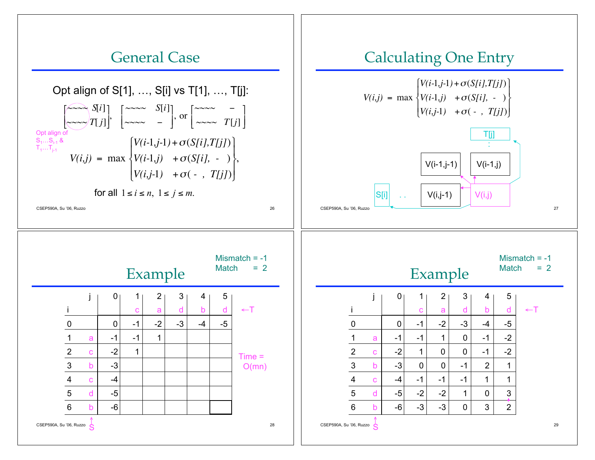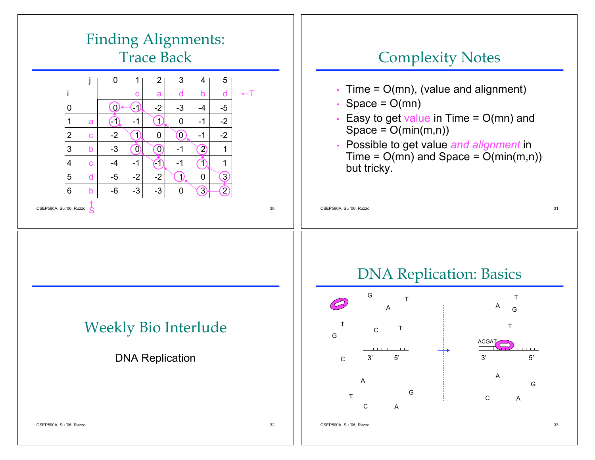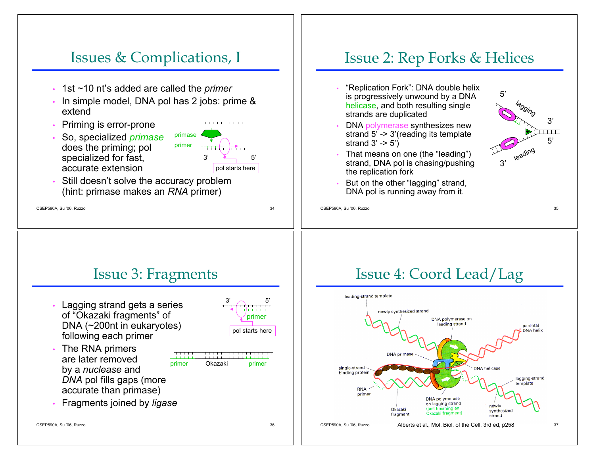#### Issues & Complications, I

- 1st ~10 nt's added are called the *primer*
- In simple model, DNA pol has 2 jobs: prime & extend
- Priming is error-prone
- So, specialized *primase* does the priming; pol specialized for fast, accurate extension



Still doesn't solve the accuracy problem (hint: primase makes an *RNA* primer)

CSEP590A, Su '06, Ruzzo 34



# Issue 3: Fragments

Lagging strand gets a series of "Okazaki fragments" of DNA (~200nt in eukaryotes) following each primer



The RNA primers are later removed by a *nuclease* and



primer Okazaki primer

- *DNA* pol fills gaps (more accurate than primase)
- Fragments joined by *ligase*

CSEP590A, Su '06, Ruzzo 36

# Issue 4: Coord Lead/Lag

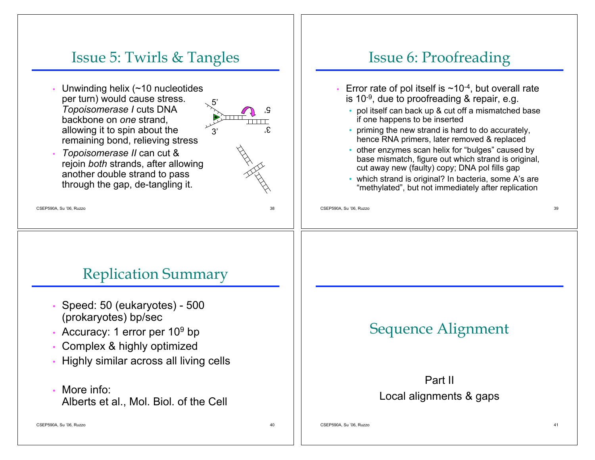#### Issue 5: Twirls & Tangles

Unwinding helix  $($  ~10 nucleotides per turn) would cause stress. *Topoisomerase I* cuts DNA backbone on *one* strand, allowing it to spin about the remaining bond, relieving stress



• *Topoisomerase II* can cut & rejoin *both* strands, after allowing another double strand to pass through the gap, de-tangling it.

CSEP590A, Su '06, Ruzzo 38

### Replication Summary

- Speed: 50 (eukaryotes) 500 (prokaryotes) bp/sec
- Accuracy: 1 error per 10<sup>9</sup> bp
- Complex & highly optimized
- Highly similar across all living cells
- More info: Alberts et al., Mol. Biol. of the Cell

CSEP590A, Su '06, Ruzzo 40

# Issue 6: Proofreading

- Error rate of pol itself is  $\sim$ 10<sup>-4</sup>, but overall rate is 10 $-9$ , due to proofreading & repair, e.g.
	- pol itself can back up & cut off a mismatched base if one happens to be inserted
	- priming the new strand is hard to do accurately, hence RNA primers, later removed & replaced
	- other enzymes scan helix for "bulges" caused by base mismatch, figure out which strand is original, cut away new (faulty) copy; DNA pol fills gap
	- which strand is original? In bacteria, some A's are "methylated" , but not immediately after replication

CSEP590A, Su '06, Ruzzo 39

# Sequence Alignment

#### Part II Local alignments & gaps

CSEP590A, Su '06, Ruzzo 41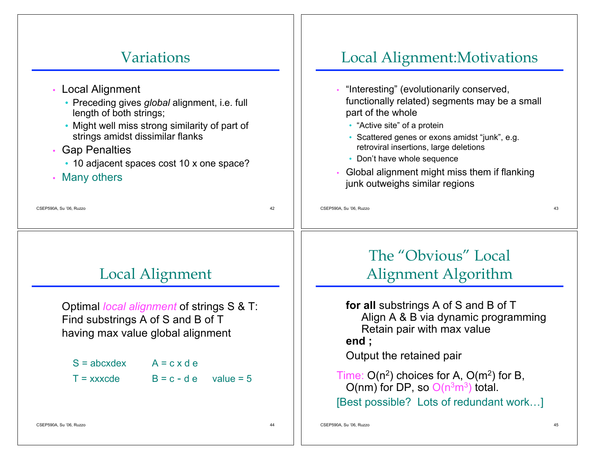#### CSEP590A, Su '06, Ruzzo 42 Variations • Local Alignment • Preceding gives *global* alignment, i.e. full length of both strings; • Might well miss strong similarity of part of strings amidst dissimilar flanks • Gap Penalties • 10 adjacent spaces cost 10 x one space? • Many others CSEP590A, Su '06, Ruzzo 43 Local Alignment:Motivations • "Interesting" (evolutionarily conserved, functionally related) segments may be a small part of the whole • "Active site" of a protein • Scattered genes or exons amidst "junk" , e.g. retroviral insertions, large deletions • Don't have whole sequence • Global alignment might miss them if flanking junk outweighs similar regions CSEP590A, Su '06, Ruzzo 44 Local Alignment Optimal *local alignment* of strings S & T: Find substrings A of S and B of T having max value global alignment  $S = abcxdex$   $A = c x d e$  $T =$  xxxcde  $B = c - d e$  value = 5 CSEP590A, Su '06, Ruzzo 45 The "Obvious" Local Alignment Algorithm **for all** substrings A of S and B of T Align A & B via dynamic programming Retain pair with max value **end ;** Output the retained pair Time:  $O(n^2)$  choices for A,  $O(m^2)$  for B, O(nm) for DP, so  $O(n^3m^3)$  total. [Best possible? Lots of redundant work…]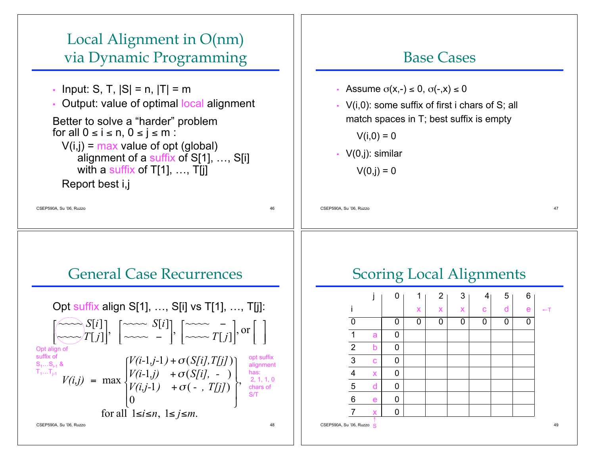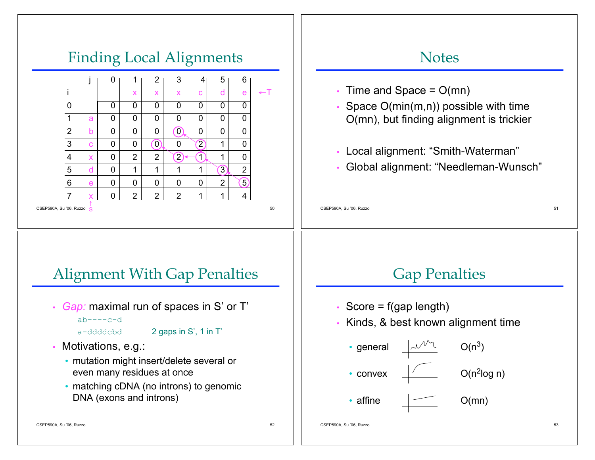